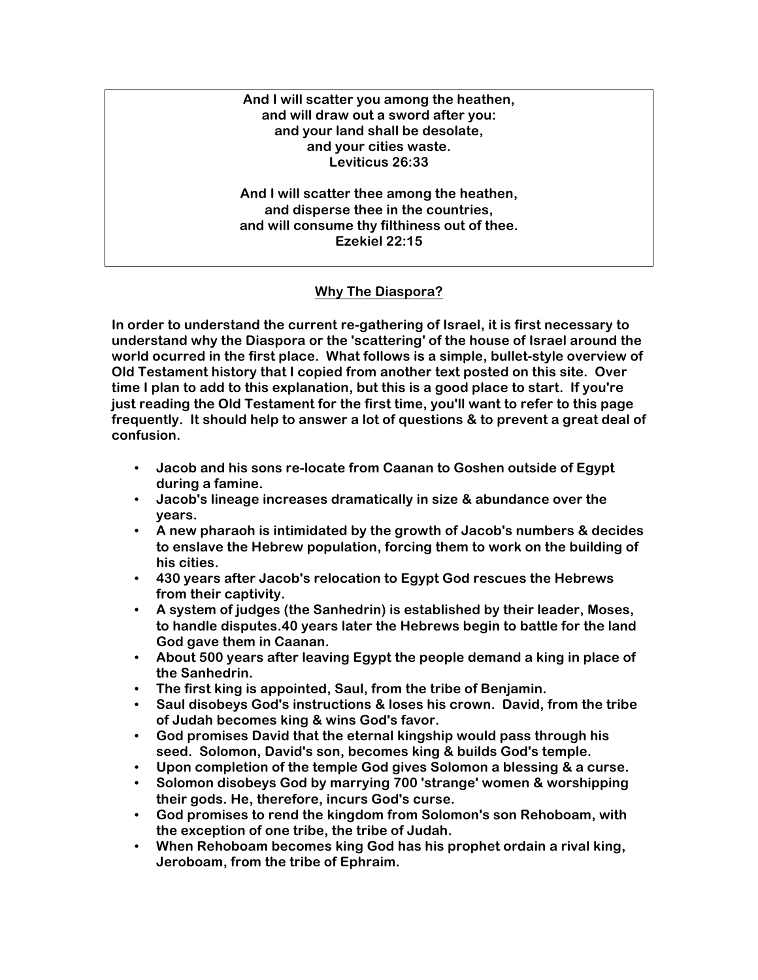#### **And I will scatter you among the heathen, and will draw out a sword after you: and your land shall be desolate, and your cities waste. Leviticus 26:33**

**And I will scatter thee among the heathen, and disperse thee in the countries, and will consume thy filthiness out of thee. Ezekiel 22:15**

## **Why The Diaspora?**

**In order to understand the current re-gathering of Israel, it is first necessary to understand why the Diaspora or the 'scattering' of the house of Israel around the world ocurred in the first place. What follows is a simple, bullet-style overview of Old Testament history that I copied from another text posted on this site. Over time I plan to add to this explanation, but this is a good place to start. If you're just reading the Old Testament for the first time, you'll want to refer to this page frequently. It should help to answer a lot of questions & to prevent a great deal of confusion.**

- **Jacob and his sons re-locate from Caanan to Goshen outside of Egypt during a famine.**
- **Jacob's lineage increases dramatically in size & abundance over the years.**
- **A new pharaoh is intimidated by the growth of Jacob's numbers & decides to enslave the Hebrew population, forcing them to work on the building of his cities.**
- **430 years after Jacob's relocation to Egypt God rescues the Hebrews from their captivity.**
- **A system of judges (the Sanhedrin) is established by their leader, Moses, to handle disputes.40 years later the Hebrews begin to battle for the land God gave them in Caanan.**
- **About 500 years after leaving Egypt the people demand a king in place of the Sanhedrin.**
- **The first king is appointed, Saul, from the tribe of Benjamin.**
- **Saul disobeys God's instructions & loses his crown. David, from the tribe of Judah becomes king & wins God's favor.**
- **God promises David that the eternal kingship would pass through his seed. Solomon, David's son, becomes king & builds God's temple.**
- **Upon completion of the temple God gives Solomon a blessing & a curse.**
- **Solomon disobeys God by marrying 700 'strange' women & worshipping their gods. He, therefore, incurs God's curse.**
- **God promises to rend the kingdom from Solomon's son Rehoboam, with the exception of one tribe, the tribe of Judah.**
- **When Rehoboam becomes king God has his prophet ordain a rival king, Jeroboam, from the tribe of Ephraim.**